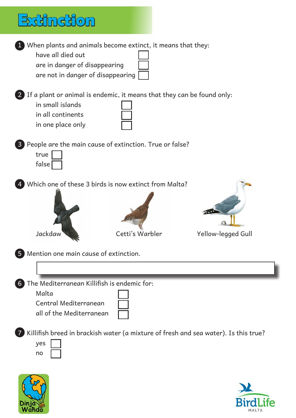## **Extinction**